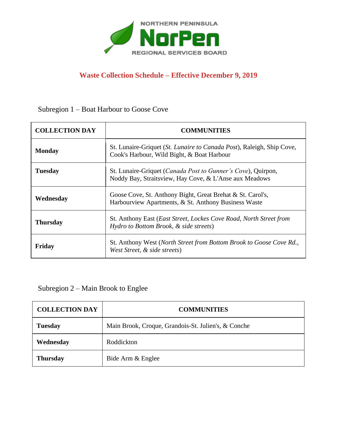

## **Waste Collection Schedule – Effective December 9, 2019**

Subregion 1 – Boat Harbour to Goose Cove

| <b>COLLECTION DAY</b> | <b>COMMUNITIES</b>                                                                                                              |
|-----------------------|---------------------------------------------------------------------------------------------------------------------------------|
| <b>Monday</b>         | St. Lunaire-Griquet (St. Lunaire to Canada Post), Raleigh, Ship Cove,<br>Cook's Harbour, Wild Bight, & Boat Harbour             |
| <b>Tuesday</b>        | St. Lunaire-Griquet ( <i>Canada Post to Gunner's Cove</i> ), Quirpon,<br>Noddy Bay, Straitsview, Hay Cove, & L'Anse aux Meadows |
| Wednesday             | Goose Cove, St. Anthony Bight, Great Brehat & St. Carol's,<br>Harbourview Apartments, & St. Anthony Business Waste              |
| <b>Thursday</b>       | St. Anthony East ( <i>East Street, Lockes Cove Road, North Street from</i><br>Hydro to Bottom Brook, & side streets)            |
| Friday                | St. Anthony West (North Street from Bottom Brook to Goose Cove Rd.,<br>West Street, & side streets)                             |

Subregion 2 – Main Brook to Englee

| <b>COLLECTION DAY</b> | <b>COMMUNITIES</b>                                  |
|-----------------------|-----------------------------------------------------|
| <b>Tuesday</b>        | Main Brook, Croque, Grandois-St. Julien's, & Conche |
| Wednesday             | Roddickton                                          |
| <b>Thursday</b>       | Bide Arm & Englee                                   |